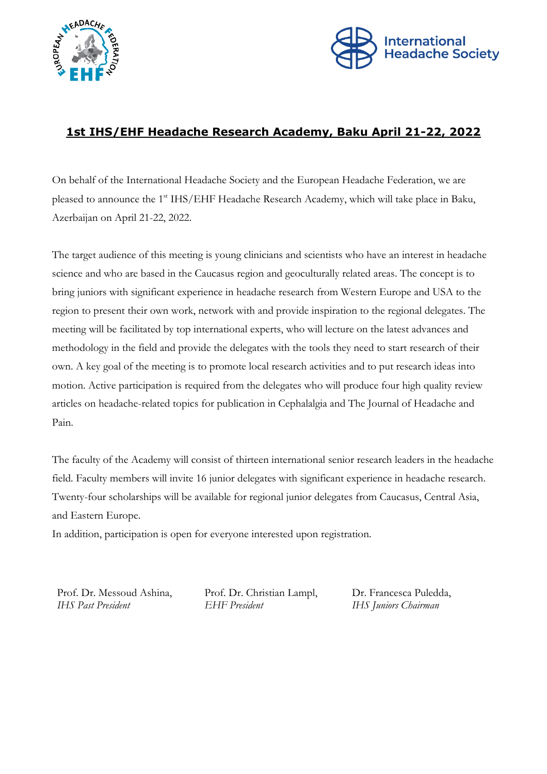



## **1st IHS/EHF Headache Research Academy, Baku April 21-22, 2022**

On behalf of the International Headache Society and the European Headache Federation, we are pleased to announce the 1<sup>st</sup> IHS/EHF Headache Research Academy, which will take place in Baku, Azerbaijan on April 21-22, 2022.

The target audience of this meeting is young clinicians and scientists who have an interest in headache science and who are based in the Caucasus region and geoculturally related areas. The concept is to bring juniors with significant experience in headache research from Western Europe and USA to the region to present their own work, network with and provide inspiration to the regional delegates. The meeting will be facilitated by top international experts, who will lecture on the latest advances and methodology in the field and provide the delegates with the tools they need to start research of their own. A key goal of the meeting is to promote local research activities and to put research ideas into motion. Active participation is required from the delegates who will produce four high quality review articles on headache-related topics for publication in Cephalalgia and The Journal of Headache and Pain.

The faculty of the Academy will consist of thirteen international senior research leaders in the headache field. Faculty members will invite 16 junior delegates with significant experience in headache research. Twenty-four scholarships will be available for regional junior delegates from Caucasus, Central Asia, and Eastern Europe.

In addition, participation is open for everyone interested upon registration.

Prof. Dr. Messoud Ashina, Prof. Dr. Christian Lampl, Dr. Francesca Puledda, *IHS Past President EHF President IHS Juniors Chairman*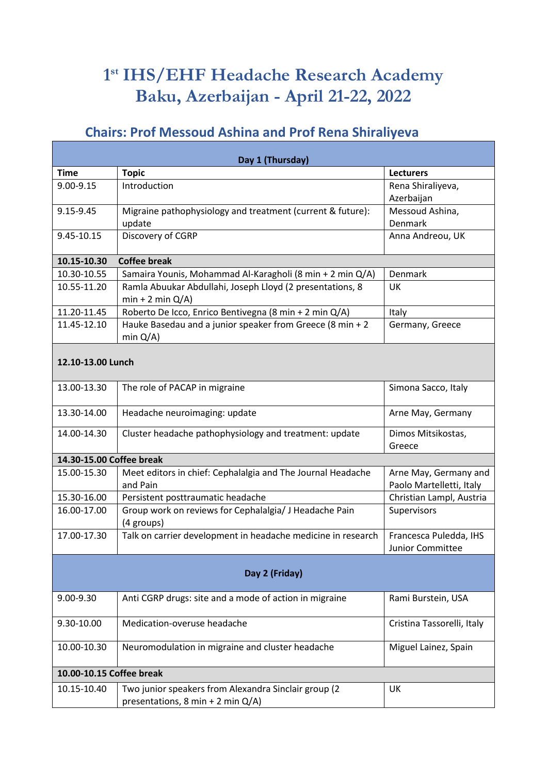# **1 st IHS/EHF Headache Research Academy Baku, Azerbaijan - April 21-22, 2022**

# **Chairs: Prof Messoud Ashina and Prof Rena Shiraliyeva**

| Day 1 (Thursday)         |                                                                                           |                                                   |  |  |
|--------------------------|-------------------------------------------------------------------------------------------|---------------------------------------------------|--|--|
| <b>Time</b>              | <b>Topic</b>                                                                              | <b>Lecturers</b>                                  |  |  |
| 9.00-9.15                | Introduction                                                                              | Rena Shiraliyeva,<br>Azerbaijan                   |  |  |
| 9.15-9.45                | Migraine pathophysiology and treatment (current & future):<br>update                      | Messoud Ashina,<br>Denmark                        |  |  |
| 9.45-10.15               | Discovery of CGRP                                                                         | Anna Andreou, UK                                  |  |  |
| 10.15-10.30              | <b>Coffee break</b>                                                                       |                                                   |  |  |
| 10.30-10.55              | Samaira Younis, Mohammad Al-Karagholi (8 min + 2 min Q/A)                                 | <b>Denmark</b>                                    |  |  |
| 10.55-11.20              | Ramla Abuukar Abdullahi, Joseph Lloyd (2 presentations, 8<br>$min + 2 min Q/A$            | UK                                                |  |  |
| 11.20-11.45              | Roberto De Icco, Enrico Bentivegna (8 min + 2 min Q/A)                                    | Italy                                             |  |  |
| 11.45-12.10              | Hauke Basedau and a junior speaker from Greece (8 min + 2<br>min $Q/A$ )                  | Germany, Greece                                   |  |  |
| 12.10-13.00 Lunch        |                                                                                           |                                                   |  |  |
| 13.00-13.30              | The role of PACAP in migraine                                                             | Simona Sacco, Italy                               |  |  |
| 13.30-14.00              | Headache neuroimaging: update                                                             | Arne May, Germany                                 |  |  |
| 14.00-14.30              | Cluster headache pathophysiology and treatment: update                                    | Dimos Mitsikostas,<br>Greece                      |  |  |
| 14.30-15.00 Coffee break |                                                                                           |                                                   |  |  |
| 15.00-15.30              | Meet editors in chief: Cephalalgia and The Journal Headache<br>and Pain                   | Arne May, Germany and<br>Paolo Martelletti, Italy |  |  |
| 15.30-16.00              | Persistent posttraumatic headache                                                         | Christian Lampl, Austria                          |  |  |
| 16.00-17.00              | Group work on reviews for Cephalalgia/ J Headache Pain<br>(4 groups)                      | Supervisors                                       |  |  |
| 17.00-17.30              | Talk on carrier development in headache medicine in research                              | Francesca Puledda, IHS<br><b>Junior Committee</b> |  |  |
| Day 2 (Friday)           |                                                                                           |                                                   |  |  |
| 9.00-9.30                | Anti CGRP drugs: site and a mode of action in migraine                                    | Rami Burstein, USA                                |  |  |
| 9.30-10.00               | Medication-overuse headache                                                               | Cristina Tassorelli, Italy                        |  |  |
| 10.00-10.30              | Neuromodulation in migraine and cluster headache                                          | Miguel Lainez, Spain                              |  |  |
| 10.00-10.15 Coffee break |                                                                                           |                                                   |  |  |
| 10.15-10.40              | Two junior speakers from Alexandra Sinclair group (2<br>presentations, 8 min + 2 min Q/A) | UK                                                |  |  |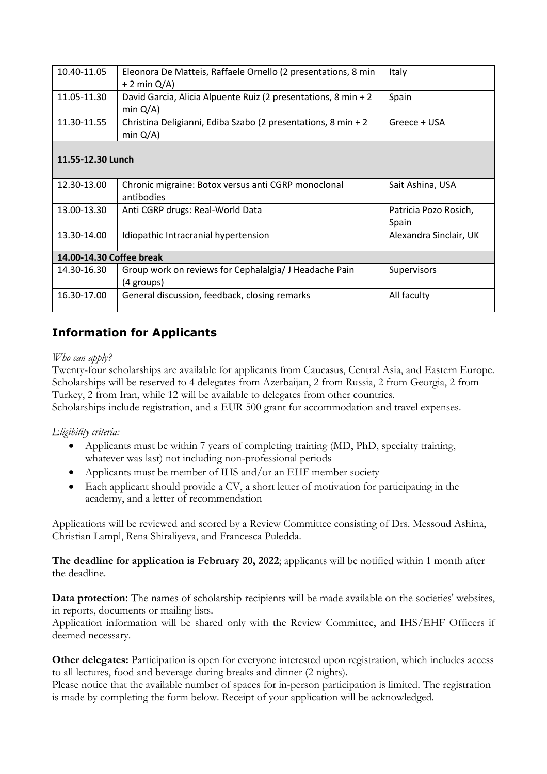| 10.40-11.05              | Eleonora De Matteis, Raffaele Ornello (2 presentations, 8 min<br>$+ 2$ min $Q/A$ ) | Italy                          |  |
|--------------------------|------------------------------------------------------------------------------------|--------------------------------|--|
| 11.05-11.30              | David Garcia, Alicia Alpuente Ruiz (2 presentations, 8 min + 2<br>min $Q/A$ )      | Spain                          |  |
| 11.30-11.55              | Christina Deligianni, Ediba Szabo (2 presentations, 8 min + 2<br>min $Q/A$ )       | Greece + USA                   |  |
| 11.55-12.30 Lunch        |                                                                                    |                                |  |
| 12.30-13.00              | Chronic migraine: Botox versus anti CGRP monoclonal<br>antibodies                  | Sait Ashina, USA               |  |
| 13.00-13.30              | Anti CGRP drugs: Real-World Data                                                   | Patricia Pozo Rosich,<br>Spain |  |
| 13.30-14.00              | Idiopathic Intracranial hypertension                                               | Alexandra Sinclair, UK         |  |
| 14.00-14.30 Coffee break |                                                                                    |                                |  |
| 14.30-16.30              | Group work on reviews for Cephalalgia/ J Headache Pain<br>(4 groups)               | Supervisors                    |  |
| 16.30-17.00              | General discussion, feedback, closing remarks                                      | All faculty                    |  |

## **Information for Applicants**

## *Who can apply?*

Twenty-four scholarships are available for applicants from Caucasus, Central Asia, and Eastern Europe. Scholarships will be reserved to 4 delegates from Azerbaijan, 2 from Russia, 2 from Georgia, 2 from Turkey, 2 from Iran, while 12 will be available to delegates from other countries. Scholarships include registration, and a EUR 500 grant for accommodation and travel expenses.

## *Eligibility criteria:*

- Applicants must be within 7 years of completing training (MD, PhD, specialty training, whatever was last) not including non-professional periods
- Applicants must be member of IHS and/or an EHF member society
- Each applicant should provide a CV, a short letter of motivation for participating in the academy, and a letter of recommendation

Applications will be reviewed and scored by a Review Committee consisting of Drs. Messoud Ashina, Christian Lampl, Rena Shiraliyeva, and Francesca Puledda.

**The deadline for application is February 20, 2022**; applicants will be notified within 1 month after the deadline.

**Data protection:** The names of scholarship recipients will be made available on the societies' websites, in reports, documents or mailing lists.

Application information will be shared only with the Review Committee, and IHS/EHF Officers if deemed necessary.

**Other delegates:** Participation is open for everyone interested upon registration, which includes access to all lectures, food and beverage during breaks and dinner (2 nights).

Please notice that the available number of spaces for in-person participation is limited. The registration is made by completing the form below. Receipt of your application will be acknowledged.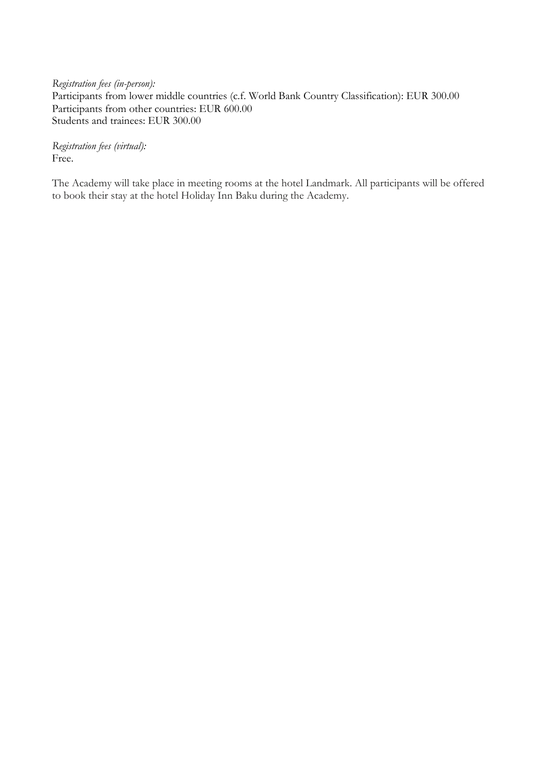*Registration fees (in-person):* Participants from lower middle countries (c.f. World Bank Country Classification): EUR 300.00 Participants from other countries: EUR 600.00 Students and trainees: EUR 300.00

*Registration fees (virtual):* Free.

The Academy will take place in meeting rooms at the hotel Landmark. All participants will be offered to book their stay at the hotel Holiday Inn Baku during the Academy.